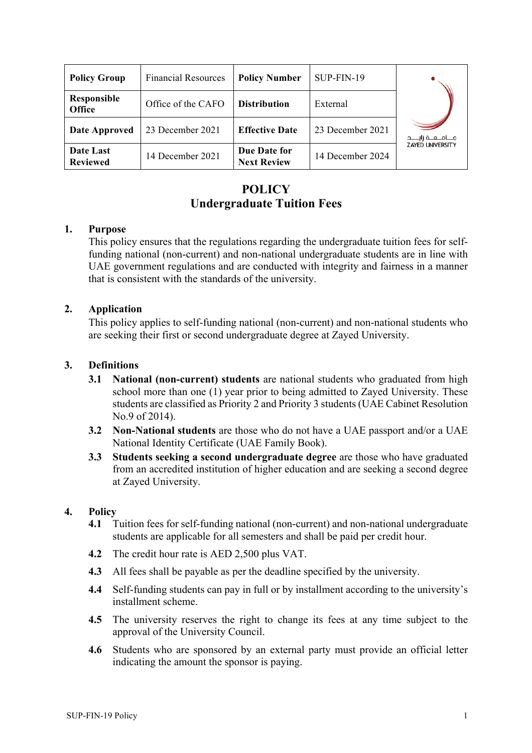| <b>Policy Group</b>          | <b>Financial Resources</b> | <b>Policy Number</b>               | SUP-FIN-19       |                         |
|------------------------------|----------------------------|------------------------------------|------------------|-------------------------|
| Responsible<br><b>Office</b> | Office of the CAFO         | <b>Distribution</b>                | External         |                         |
| <b>Date Approved</b>         | 23 December 2021           | <b>Effective Date</b>              | 23 December 2021 |                         |
| Date Last<br><b>Reviewed</b> | 14 December 2021           | Due Date for<br><b>Next Review</b> | 14 December 2024 | <b>ZAYED UNIVERSITY</b> |

# **POLICY Undergraduate Tuition Fees**

#### **1. Purpose**

This policy ensures that the regulations regarding the undergraduate tuition fees for selffunding national (non-current) and non-national undergraduate students are in line with UAE government regulations and are conducted with integrity and fairness in a manner that is consistent with the standards of the university.

## **2. Application**

This policy applies to self-funding national (non-current) and non-national students who are seeking their first or second undergraduate degree at Zayed University.

#### **3. Definitions**

- **3.1 National (non-current) students** are national students who graduated from high school more than one (1) year prior to being admitted to Zayed University. These students are classified as Priority 2 and Priority 3 students (UAE Cabinet Resolution No.9 of 2014).
- **3.2 Non-National students** are those who do not have a UAE passport and/or a UAE National Identity Certificate (UAE Family Book).
- **3.3 Students seeking a second undergraduate degree** are those who have graduated from an accredited institution of higher education and are seeking a second degree at Zayed University.

#### **4. Policy**

- **4.1** Tuition fees for self-funding national (non-current) and non-national undergraduate students are applicable for all semesters and shall be paid per credit hour.
- **4.2** The credit hour rate is AED 2,500 plus VAT.
- **4.3** All fees shall be payable as per the deadline specified by the university.
- **4.4** Self-funding students can pay in full or by installment according to the university's installment scheme.
- **4.5** The university reserves the right to change its fees at any time subject to the approval of the University Council.
- **4.6** Students who are sponsored by an external party must provide an official letter indicating the amount the sponsor is paying.